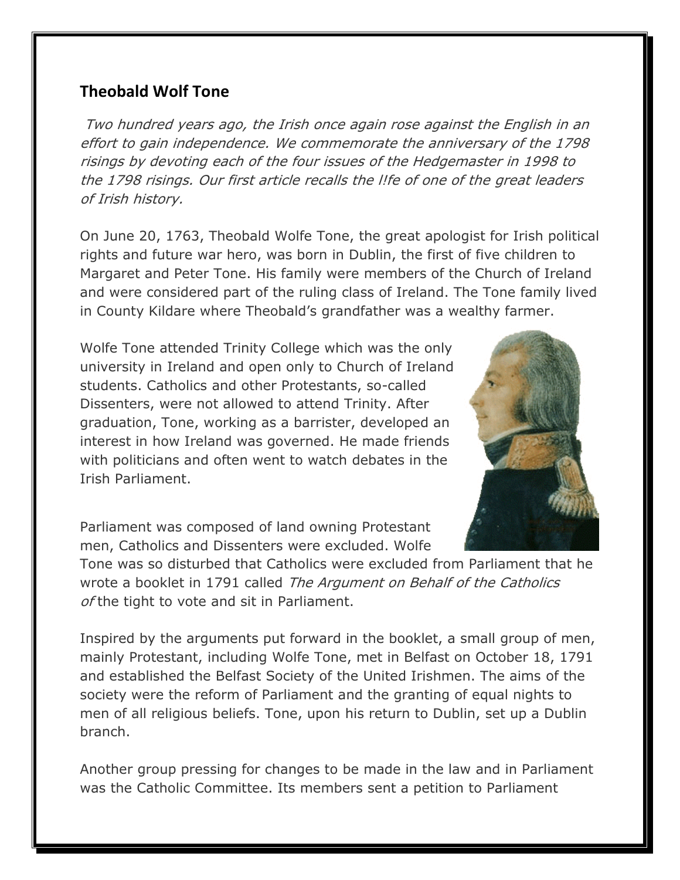## **Theobald Wolf Tone**

Two hundred years ago, the Irish once again rose against the English in an effort to gain independence. We commemorate the anniversary of the 1798 risings by devoting each of the four issues of the Hedgemaster in 1998 to the 1798 risings. Our first article recalls the l!fe of one of the great leaders of Irish history.

On June 20, 1763, Theobald Wolfe Tone, the great apologist for Irish political rights and future war hero, was born in Dublin, the first of five children to Margaret and Peter Tone. His family were members of the Church of Ireland and were considered part of the ruling class of Ireland. The Tone family lived in County Kildare where Theobald's grandfather was a wealthy farmer.

Wolfe Tone attended Trinity College which was the only university in Ireland and open only to Church of Ireland students. Catholics and other Protestants, so-called Dissenters, were not allowed to attend Trinity. After graduation, Tone, working as a barrister, developed an interest in how Ireland was governed. He made friends with politicians and often went to watch debates in the Irish Parliament.



Parliament was composed of land owning Protestant men, Catholics and Dissenters were excluded. Wolfe

Tone was so disturbed that Catholics were excluded from Parliament that he wrote a booklet in 1791 called The Argument on Behalf of the Catholics of the tight to vote and sit in Parliament.

Inspired by the arguments put forward in the booklet, a small group of men, mainly Protestant, including Wolfe Tone, met in Belfast on October 18, 1791 and established the Belfast Society of the United Irishmen. The aims of the society were the reform of Parliament and the granting of equal nights to men of all religious beliefs. Tone, upon his return to Dublin, set up a Dublin branch.

Another group pressing for changes to be made in the law and in Parliament was the Catholic Committee. Its members sent a petition to Parliament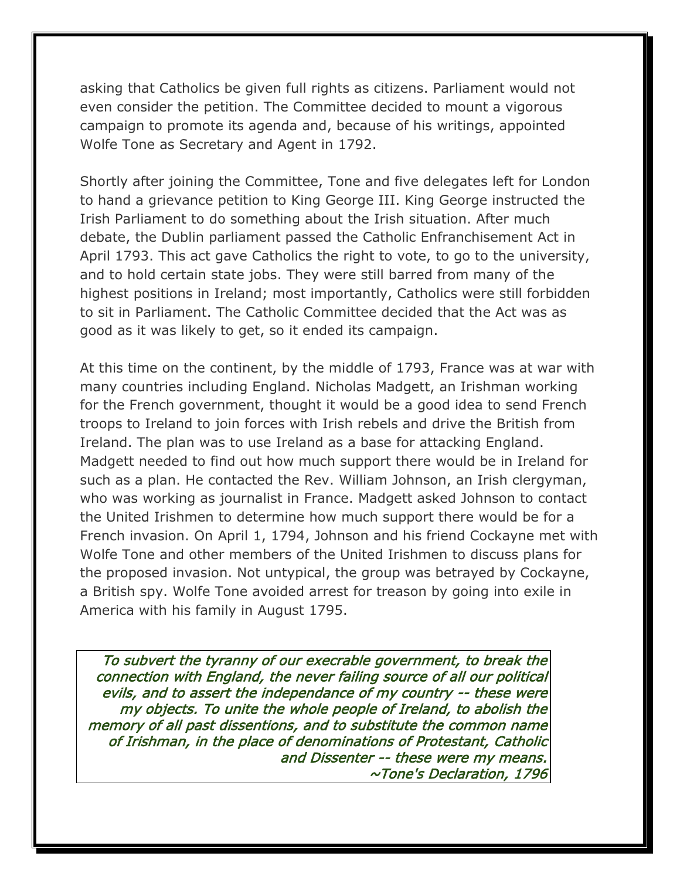asking that Catholics be given full rights as citizens. Parliament would not even consider the petition. The Committee decided to mount a vigorous campaign to promote its agenda and, because of his writings, appointed Wolfe Tone as Secretary and Agent in 1792.

Shortly after joining the Committee, Tone and five delegates left for London to hand a grievance petition to King George III. King George instructed the Irish Parliament to do something about the Irish situation. After much debate, the Dublin parliament passed the Catholic Enfranchisement Act in April 1793. This act gave Catholics the right to vote, to go to the university, and to hold certain state jobs. They were still barred from many of the highest positions in Ireland; most importantly, Catholics were still forbidden to sit in Parliament. The Catholic Committee decided that the Act was as good as it was likely to get, so it ended its campaign.

At this time on the continent, by the middle of 1793, France was at war with many countries including England. Nicholas Madgett, an Irishman working for the French government, thought it would be a good idea to send French troops to Ireland to join forces with Irish rebels and drive the British from Ireland. The plan was to use Ireland as a base for attacking England. Madgett needed to find out how much support there would be in Ireland for such as a plan. He contacted the Rev. William Johnson, an Irish clergyman, who was working as journalist in France. Madgett asked Johnson to contact the United Irishmen to determine how much support there would be for a French invasion. On April 1, 1794, Johnson and his friend Cockayne met with Wolfe Tone and other members of the United Irishmen to discuss plans for the proposed invasion. Not untypical, the group was betrayed by Cockayne, a British spy. Wolfe Tone avoided arrest for treason by going into exile in America with his family in August 1795.

To subvert the tyranny of our execrable government, to break the connection with England, the never failing source of all our political evils, and to assert the independance of my country -- these were my objects. To unite the whole people of Ireland, to abolish the memory of all past dissentions, and to substitute the common name of Irishman, in the place of denominations of Protestant, Catholic and Dissenter -- these were my means. ~Tone's Declaration, 1796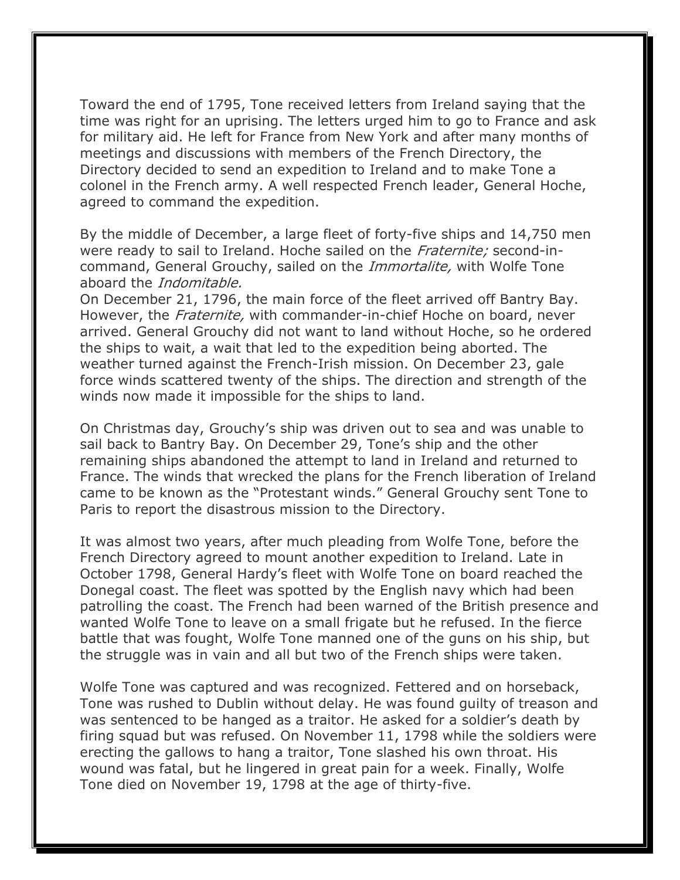Toward the end of 1795, Tone received letters from Ireland saying that the time was right for an uprising. The letters urged him to go to France and ask for military aid. He left for France from New York and after many months of meetings and discussions with members of the French Directory, the Directory decided to send an expedition to Ireland and to make Tone a colonel in the French army. A well respected French leader, General Hoche, agreed to command the expedition.

By the middle of December, a large fleet of forty-five ships and 14,750 men were ready to sail to Ireland. Hoche sailed on the Fraternite; second-incommand, General Grouchy, sailed on the *Immortalite*, with Wolfe Tone aboard the *Indomitable*.

On December 21, 1796, the main force of the fleet arrived off Bantry Bay. However, the *Fraternite*, with commander-in-chief Hoche on board, never arrived. General Grouchy did not want to land without Hoche, so he ordered the ships to wait, a wait that led to the expedition being aborted. The weather turned against the French-Irish mission. On December 23, gale force winds scattered twenty of the ships. The direction and strength of the winds now made it impossible for the ships to land.

On Christmas day, Grouchy's ship was driven out to sea and was unable to sail back to Bantry Bay. On December 29, Tone's ship and the other remaining ships abandoned the attempt to land in Ireland and returned to France. The winds that wrecked the plans for the French liberation of Ireland came to be known as the "Protestant winds." General Grouchy sent Tone to Paris to report the disastrous mission to the Directory.

It was almost two years, after much pleading from Wolfe Tone, before the French Directory agreed to mount another expedition to Ireland. Late in October 1798, General Hardy's fleet with Wolfe Tone on board reached the Donegal coast. The fleet was spotted by the English navy which had been patrolling the coast. The French had been warned of the British presence and wanted Wolfe Tone to leave on a small frigate but he refused. In the fierce battle that was fought, Wolfe Tone manned one of the guns on his ship, but the struggle was in vain and all but two of the French ships were taken.

Wolfe Tone was captured and was recognized. Fettered and on horseback, Tone was rushed to Dublin without delay. He was found guilty of treason and was sentenced to be hanged as a traitor. He asked for a soldier's death by firing squad but was refused. On November 11, 1798 while the soldiers were erecting the gallows to hang a traitor, Tone slashed his own throat. His wound was fatal, but he lingered in great pain for a week. Finally, Wolfe Tone died on November 19, 1798 at the age of thirty-five.